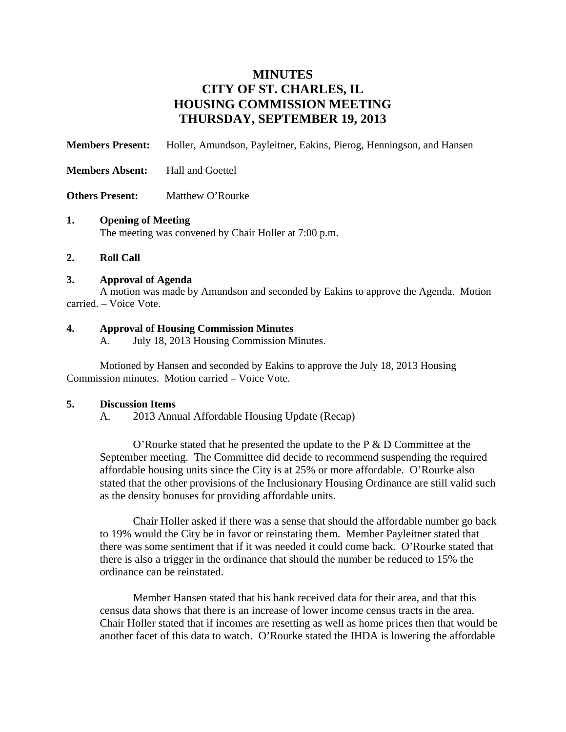# **MINUTES CITY OF ST. CHARLES, IL HOUSING COMMISSION MEETING THURSDAY, SEPTEMBER 19, 2013**

**Members Present:** Holler, Amundson, Payleitner, Eakins, Pierog, Henningson, and Hansen

- **Members Absent:** Hall and Goettel
- **Others Present:** Matthew O'Rourke

#### **1. Opening of Meeting**

The meeting was convened by Chair Holler at 7:00 p.m.

**2. Roll Call** 

#### **3. Approval of Agenda**

A motion was made by Amundson and seconded by Eakins to approve the Agenda. Motion carried. – Voice Vote.

## **4. Approval of Housing Commission Minutes**

A. July 18, 2013 Housing Commission Minutes.

Motioned by Hansen and seconded by Eakins to approve the July 18, 2013 Housing Commission minutes. Motion carried – Voice Vote.

#### **5. Discussion Items**

A. 2013 Annual Affordable Housing Update (Recap)

O'Rourke stated that he presented the update to the P & D Committee at the September meeting. The Committee did decide to recommend suspending the required affordable housing units since the City is at 25% or more affordable. O'Rourke also stated that the other provisions of the Inclusionary Housing Ordinance are still valid such as the density bonuses for providing affordable units.

Chair Holler asked if there was a sense that should the affordable number go back to 19% would the City be in favor or reinstating them. Member Payleitner stated that there was some sentiment that if it was needed it could come back. O'Rourke stated that there is also a trigger in the ordinance that should the number be reduced to 15% the ordinance can be reinstated.

Member Hansen stated that his bank received data for their area, and that this census data shows that there is an increase of lower income census tracts in the area. Chair Holler stated that if incomes are resetting as well as home prices then that would be another facet of this data to watch. O'Rourke stated the IHDA is lowering the affordable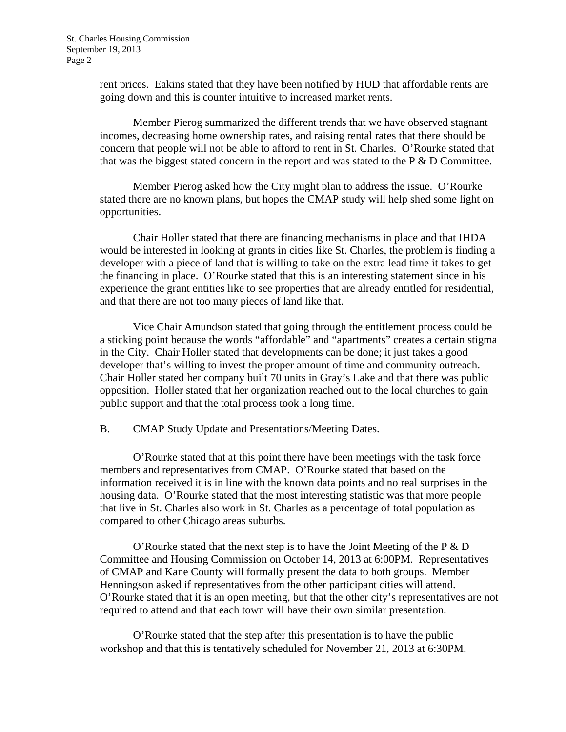rent prices. Eakins stated that they have been notified by HUD that affordable rents are going down and this is counter intuitive to increased market rents.

Member Pierog summarized the different trends that we have observed stagnant incomes, decreasing home ownership rates, and raising rental rates that there should be concern that people will not be able to afford to rent in St. Charles. O'Rourke stated that that was the biggest stated concern in the report and was stated to the  $P \& D$  Committee.

Member Pierog asked how the City might plan to address the issue. O'Rourke stated there are no known plans, but hopes the CMAP study will help shed some light on opportunities.

Chair Holler stated that there are financing mechanisms in place and that IHDA would be interested in looking at grants in cities like St. Charles, the problem is finding a developer with a piece of land that is willing to take on the extra lead time it takes to get the financing in place. O'Rourke stated that this is an interesting statement since in his experience the grant entities like to see properties that are already entitled for residential, and that there are not too many pieces of land like that.

Vice Chair Amundson stated that going through the entitlement process could be a sticking point because the words "affordable" and "apartments" creates a certain stigma in the City. Chair Holler stated that developments can be done; it just takes a good developer that's willing to invest the proper amount of time and community outreach. Chair Holler stated her company built 70 units in Gray's Lake and that there was public opposition. Holler stated that her organization reached out to the local churches to gain public support and that the total process took a long time.

B. CMAP Study Update and Presentations/Meeting Dates.

O'Rourke stated that at this point there have been meetings with the task force members and representatives from CMAP. O'Rourke stated that based on the information received it is in line with the known data points and no real surprises in the housing data. O'Rourke stated that the most interesting statistic was that more people that live in St. Charles also work in St. Charles as a percentage of total population as compared to other Chicago areas suburbs.

O'Rourke stated that the next step is to have the Joint Meeting of the P & D Committee and Housing Commission on October 14, 2013 at 6:00PM. Representatives of CMAP and Kane County will formally present the data to both groups. Member Henningson asked if representatives from the other participant cities will attend. O'Rourke stated that it is an open meeting, but that the other city's representatives are not required to attend and that each town will have their own similar presentation.

O'Rourke stated that the step after this presentation is to have the public workshop and that this is tentatively scheduled for November 21, 2013 at 6:30PM.